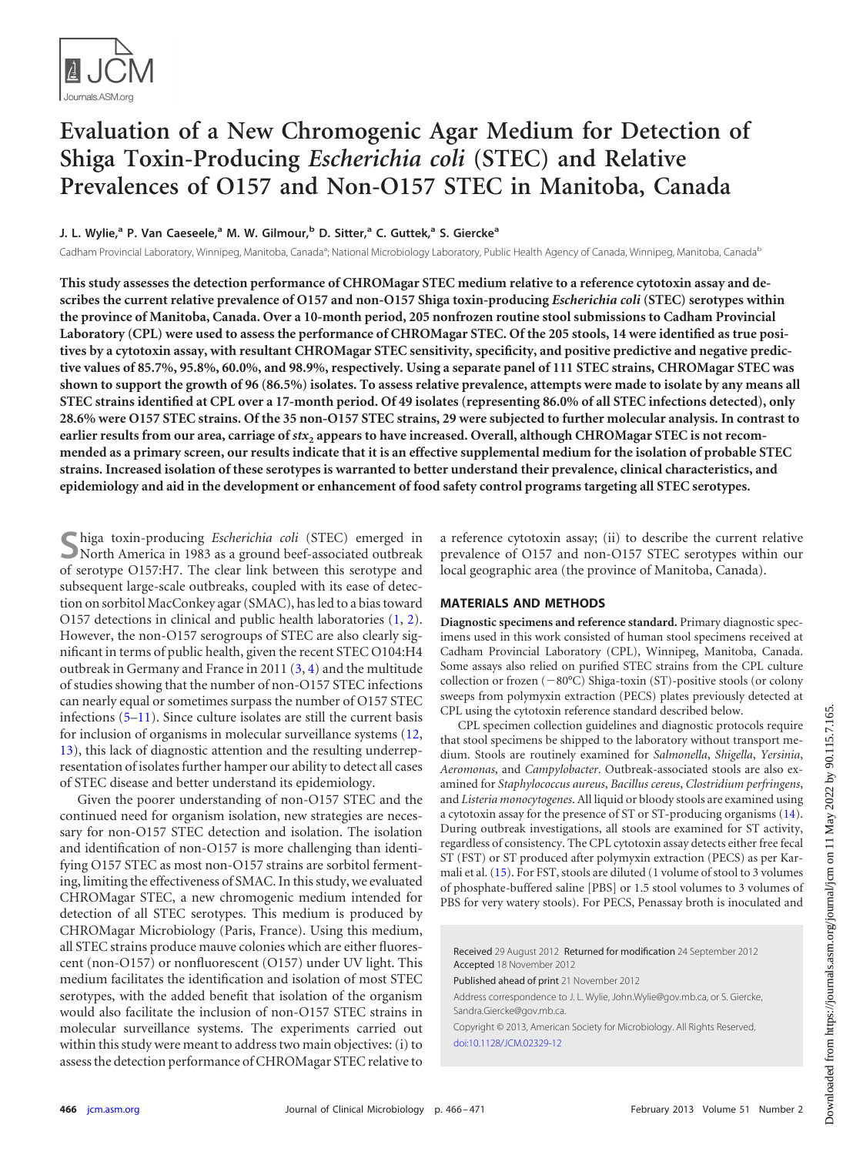

# **Evaluation of a New Chromogenic Agar Medium for Detection of Shiga Toxin-Producing** *Escherichia coli* **(STEC) and Relative Prevalences of O157 and Non-O157 STEC in Manitoba, Canada**

**J. L. Wylie, <sup>a</sup> P. Van Caeseele, <sup>a</sup> M. W. Gilmour, <sup>b</sup> D. Sitter, <sup>a</sup> C. Guttek, <sup>a</sup> S. Gierckea**

Cadham Provincial Laboratory, Winnipeg, Manitoba, Canada<sup>a</sup>; National Microbiology Laboratory, Public Health Agency of Canada, Winnipeg, Manitoba, Canada<sup>b</sup>

**This study assesses the detection performance of CHROMagar STEC medium relative to a reference cytotoxin assay and describes the current relative prevalence of O157 and non-O157 Shiga toxin-producing** *Escherichia coli* **(STEC) serotypes within the province of Manitoba, Canada. Over a 10-month period, 205 nonfrozen routine stool submissions to Cadham Provincial Laboratory (CPL) were used to assess the performance of CHROMagar STEC. Of the 205 stools, 14 were identified as true positives by a cytotoxin assay, with resultant CHROMagar STEC sensitivity, specificity, and positive predictive and negative predictive values of 85.7%, 95.8%, 60.0%, and 98.9%, respectively. Using a separate panel of 111 STEC strains, CHROMagar STEC was shown to support the growth of 96 (86.5%) isolates. To assess relative prevalence, attempts were made to isolate by any means all STEC strains identified at CPL over a 17-month period. Of 49 isolates (representing 86.0% of all STEC infections detected), only 28.6% were O157 STEC strains. Of the 35 non-O157 STEC strains, 29 were subjected to further molecular analysis. In contrast to earlier results from our area, carriage of** *stx***<sup>2</sup> appears to have increased. Overall, although CHROMagar STEC is not recommended as a primary screen, our results indicate that it is an effective supplemental medium for the isolation of probable STEC strains. Increased isolation of these serotypes is warranted to better understand their prevalence, clinical characteristics, and epidemiology and aid in the development or enhancement of food safety control programs targeting all STEC serotypes.**

**S**higa toxin-producing *Escherichia coli* (STEC) emerged in North America in 1983 as a ground beef-associated outbreak of serotype O157:H7. The clear link between this serotype and subsequent large-scale outbreaks, coupled with its ease of detection on sorbitol MacConkey agar (SMAC), has led to a bias toward O157 detections in clinical and public health laboratories [\(1,](#page-4-0) [2\)](#page-4-1). However, the non-O157 serogroups of STEC are also clearly significant in terms of public health, given the recent STEC O104:H4 outbreak in Germany and France in 2011 [\(3,](#page-4-2) [4\)](#page-4-3) and the multitude of studies showing that the number of non-O157 STEC infections can nearly equal or sometimes surpass the number of O157 STEC infections [\(5](#page-4-4)[–11\)](#page-4-5). Since culture isolates are still the current basis for inclusion of organisms in molecular surveillance systems [\(12,](#page-4-6) [13\)](#page-4-7), this lack of diagnostic attention and the resulting underrepresentation of isolates further hamper our ability to detect all cases of STEC disease and better understand its epidemiology.

Given the poorer understanding of non-O157 STEC and the continued need for organism isolation, new strategies are necessary for non-O157 STEC detection and isolation. The isolation and identification of non-O157 is more challenging than identifying O157 STEC as most non-O157 strains are sorbitol fermenting, limiting the effectiveness of SMAC. In this study, we evaluated CHROMagar STEC, a new chromogenic medium intended for detection of all STEC serotypes. This medium is produced by CHROMagar Microbiology (Paris, France). Using this medium, all STEC strains produce mauve colonies which are either fluorescent (non-O157) or nonfluorescent (O157) under UV light. This medium facilitates the identification and isolation of most STEC serotypes, with the added benefit that isolation of the organism would also facilitate the inclusion of non-O157 STEC strains in molecular surveillance systems. The experiments carried out within this study were meant to address two main objectives: (i) to assess the detection performance of CHROMagar STEC relative to a reference cytotoxin assay; (ii) to describe the current relative prevalence of O157 and non-O157 STEC serotypes within our local geographic area (the province of Manitoba, Canada).

# **MATERIALS AND METHODS**

**Diagnostic specimens and reference standard.** Primary diagnostic specimens used in this work consisted of human stool specimens received at Cadham Provincial Laboratory (CPL), Winnipeg, Manitoba, Canada. Some assays also relied on purified STEC strains from the CPL culture collection or frozen  $(-80^{\circ}C)$  Shiga-toxin (ST)-positive stools (or colony sweeps from polymyxin extraction (PECS) plates previously detected at CPL using the cytotoxin reference standard described below.

CPL specimen collection guidelines and diagnostic protocols require that stool specimens be shipped to the laboratory without transport medium. Stools are routinely examined for *Salmonella*, *Shigella*, *Yersinia*, *Aeromonas*, and *Campylobacter*. Outbreak-associated stools are also examined for *Staphylococcus aureus*, *Bacillus cereus*, *Clostridium perfringens*, and *Listeria monocytogenes*. All liquid or bloody stools are examined using a cytotoxin assay for the presence of ST or ST-producing organisms [\(14\)](#page-4-8). During outbreak investigations, all stools are examined for ST activity, regardless of consistency. The CPL cytotoxin assay detects either free fecal ST (FST) or ST produced after polymyxin extraction (PECS) as per Karmali et al. [\(15\)](#page-4-9). For FST, stools are diluted (1 volume of stool to 3 volumes of phosphate-buffered saline [PBS] or 1.5 stool volumes to 3 volumes of PBS for very watery stools). For PECS, Penassay broth is inoculated and

Received 29 August 2012 Returned for modification 24 September 2012 Accepted 18 November 2012

Published ahead of print 21 November 2012

Address correspondence to J. L. Wylie, John.Wylie@gov.mb.ca, or S. Giercke, Sandra.Giercke@gov.mb.ca.

Copyright © 2013, American Society for Microbiology. All Rights Reserved. [doi:10.1128/JCM.02329-12](http://dx.doi.org/10.1128/JCM.02329-12)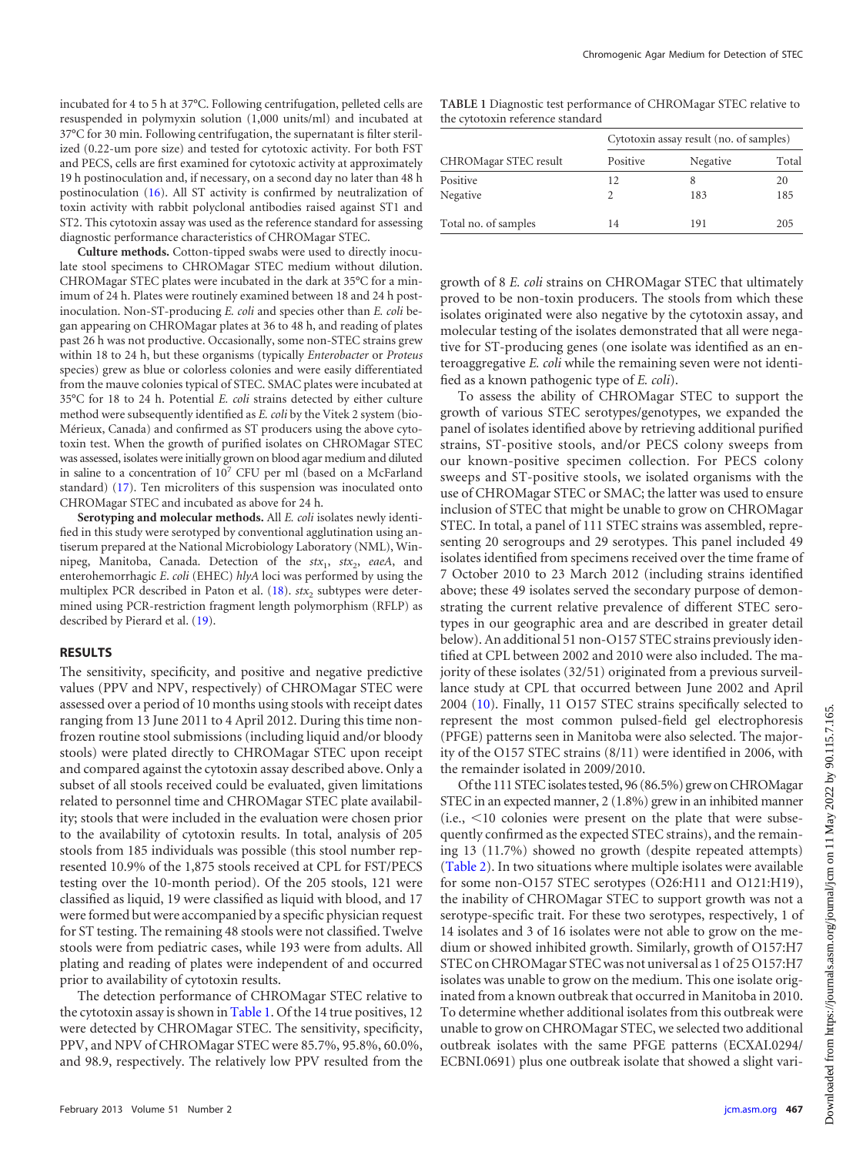incubated for 4 to 5 h at 37°C. Following centrifugation, pelleted cells are resuspended in polymyxin solution (1,000 units/ml) and incubated at 37°C for 30 min. Following centrifugation, the supernatant is filter sterilized (0.22-um pore size) and tested for cytotoxic activity. For both FST and PECS, cells are first examined for cytotoxic activity at approximately 19 h postinoculation and, if necessary, on a second day no later than 48 h postinoculation [\(16\)](#page-4-10). All ST activity is confirmed by neutralization of toxin activity with rabbit polyclonal antibodies raised against ST1 and ST2. This cytotoxin assay was used as the reference standard for assessing diagnostic performance characteristics of CHROMagar STEC.

**Culture methods.** Cotton-tipped swabs were used to directly inoculate stool specimens to CHROMagar STEC medium without dilution. CHROMagar STEC plates were incubated in the dark at 35°C for a minimum of 24 h. Plates were routinely examined between 18 and 24 h postinoculation. Non-ST-producing *E. coli* and species other than *E. coli* began appearing on CHROMagar plates at 36 to 48 h, and reading of plates past 26 h was not productive. Occasionally, some non-STEC strains grew within 18 to 24 h, but these organisms (typically *Enterobacter* or *Proteus* species) grew as blue or colorless colonies and were easily differentiated from the mauve colonies typical of STEC. SMAC plates were incubated at 35°C for 18 to 24 h. Potential *E. coli* strains detected by either culture method were subsequently identified as *E. coli* by the Vitek 2 system (bio-Mérieux, Canada) and confirmed as ST producers using the above cytotoxin test. When the growth of purified isolates on CHROMagar STEC was assessed, isolates were initially grown on blood agar medium and diluted in saline to a concentration of  $10^7$  CFU per ml (based on a McFarland standard) [\(17\)](#page-4-11). Ten microliters of this suspension was inoculated onto CHROMagar STEC and incubated as above for 24 h.

**Serotyping and molecular methods.** All *E. coli* isolates newly identified in this study were serotyped by conventional agglutination using antiserum prepared at the National Microbiology Laboratory (NML), Winnipeg, Manitoba, Canada. Detection of the *stx*<sub>1</sub>, *stx*<sub>2</sub>, *eaeA*, and enterohemorrhagic *E*. *coli* (EHEC) *hlyA* loci was performed by using the multiplex PCR described in Paton et al.  $(18)$ .  $\text{str}_2$  subtypes were determined using PCR-restriction fragment length polymorphism (RFLP) as described by Pierard et al. [\(19\)](#page-4-13).

#### **RESULTS**

The sensitivity, specificity, and positive and negative predictive values (PPV and NPV, respectively) of CHROMagar STEC were assessed over a period of 10 months using stools with receipt dates ranging from 13 June 2011 to 4 April 2012. During this time nonfrozen routine stool submissions (including liquid and/or bloody stools) were plated directly to CHROMagar STEC upon receipt and compared against the cytotoxin assay described above. Only a subset of all stools received could be evaluated, given limitations related to personnel time and CHROMagar STEC plate availability; stools that were included in the evaluation were chosen prior to the availability of cytotoxin results. In total, analysis of 205 stools from 185 individuals was possible (this stool number represented 10.9% of the 1,875 stools received at CPL for FST/PECS testing over the 10-month period). Of the 205 stools, 121 were classified as liquid, 19 were classified as liquid with blood, and 17 were formed but were accompanied by a specific physician request for ST testing. The remaining 48 stools were not classified. Twelve stools were from pediatric cases, while 193 were from adults. All plating and reading of plates were independent of and occurred prior to availability of cytotoxin results.

The detection performance of CHROMagar STEC relative to the cytotoxin assay is shown in [Table 1.](#page-1-0) Of the 14 true positives, 12 were detected by CHROMagar STEC. The sensitivity, specificity, PPV, and NPV of CHROMagar STEC were 85.7%, 95.8%, 60.0%, and 98.9, respectively. The relatively low PPV resulted from the

<span id="page-1-0"></span>**TABLE 1** Diagnostic test performance of CHROMagar STEC relative to the cytotoxin reference standard

|                       | Cytotoxin assay result (no. of samples) |          |       |  |
|-----------------------|-----------------------------------------|----------|-------|--|
| CHROMagar STEC result | Positive                                | Negative | Total |  |
| Positive              | 12                                      |          | 20    |  |
| Negative              |                                         | 183      | 185   |  |
| Total no. of samples  | 14                                      | 191      | 205   |  |

growth of 8 *E. coli* strains on CHROMagar STEC that ultimately proved to be non-toxin producers. The stools from which these isolates originated were also negative by the cytotoxin assay, and molecular testing of the isolates demonstrated that all were negative for ST-producing genes (one isolate was identified as an enteroaggregative *E. coli* while the remaining seven were not identified as a known pathogenic type of *E. coli*).

To assess the ability of CHROMagar STEC to support the growth of various STEC serotypes/genotypes, we expanded the panel of isolates identified above by retrieving additional purified strains, ST-positive stools, and/or PECS colony sweeps from our known-positive specimen collection. For PECS colony sweeps and ST-positive stools, we isolated organisms with the use of CHROMagar STEC or SMAC; the latter was used to ensure inclusion of STEC that might be unable to grow on CHROMagar STEC. In total, a panel of 111 STEC strains was assembled, representing 20 serogroups and 29 serotypes. This panel included 49 isolates identified from specimens received over the time frame of 7 October 2010 to 23 March 2012 (including strains identified above; these 49 isolates served the secondary purpose of demonstrating the current relative prevalence of different STEC serotypes in our geographic area and are described in greater detail below). An additional 51 non-O157 STEC strains previously identified at CPL between 2002 and 2010 were also included. The majority of these isolates (32/51) originated from a previous surveillance study at CPL that occurred between June 2002 and April 2004 [\(10\)](#page-4-14). Finally, 11 O157 STEC strains specifically selected to represent the most common pulsed-field gel electrophoresis (PFGE) patterns seen in Manitoba were also selected. The majority of the O157 STEC strains (8/11) were identified in 2006, with the remainder isolated in 2009/2010.

Of the 111 STEC isolates tested, 96 (86.5%) grew on CHROMagar STEC in an expected manner, 2 (1.8%) grew in an inhibited manner  $(i.e., < 10$  colonies were present on the plate that were subsequently confirmed as the expected STEC strains), and the remaining 13 (11.7%) showed no growth (despite repeated attempts) [\(Table 2\)](#page-2-0). In two situations where multiple isolates were available for some non-O157 STEC serotypes (O26:H11 and O121:H19), the inability of CHROMagar STEC to support growth was not a serotype-specific trait. For these two serotypes, respectively, 1 of 14 isolates and 3 of 16 isolates were not able to grow on the medium or showed inhibited growth. Similarly, growth of O157:H7 STEC on CHROMagar STEC was not universal as 1 of 25 O157:H7 isolates was unable to grow on the medium. This one isolate originated from a known outbreak that occurred in Manitoba in 2010. To determine whether additional isolates from this outbreak were unable to grow on CHROMagar STEC, we selected two additional outbreak isolates with the same PFGE patterns (ECXAI.0294/ ECBNI.0691) plus one outbreak isolate that showed a slight vari-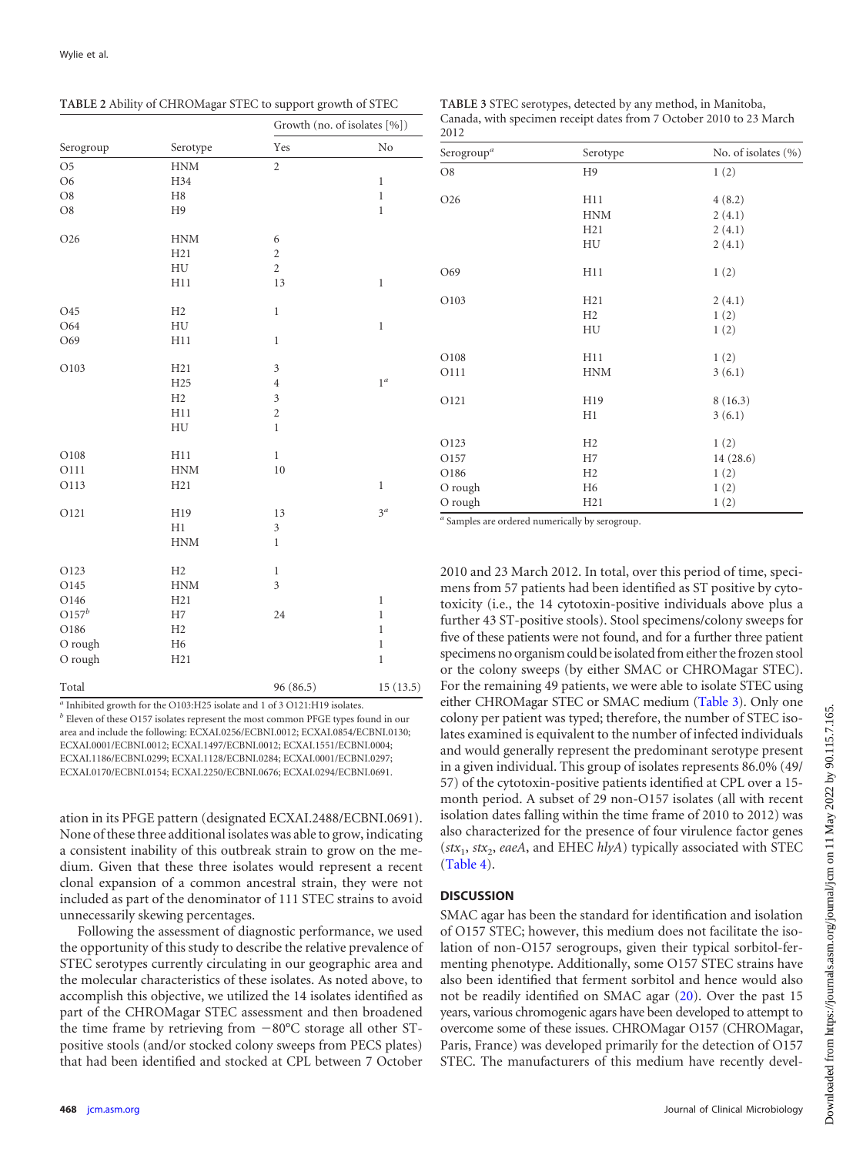<span id="page-2-0"></span>

|  | TABLE 2 Ability of CHROMagar STEC to support growth of STEC |
|--|-------------------------------------------------------------|
|  |                                                             |

|                | Serotype         | Growth (no. of isolates [%]) |              |  |
|----------------|------------------|------------------------------|--------------|--|
| Serogroup      |                  | Yes                          | No           |  |
| O <sub>5</sub> | <b>HNM</b>       | $\overline{2}$               |              |  |
| O <sub>6</sub> | H34              |                              | $\mathbf{1}$ |  |
| O8             | H <sub>8</sub>   |                              | $\mathbf 1$  |  |
| O8             | H <sub>9</sub>   |                              | $\mathbf 1$  |  |
| O26            | <b>HNM</b>       | 6                            |              |  |
|                | H21              | $\overline{c}$               |              |  |
|                | ${\rm H}{\rm U}$ | $\overline{c}$               |              |  |
|                | H11              | 13                           | $\,1$        |  |
| O45            | H2               | $\,1$                        |              |  |
| O64            | HU               |                              | $\,1$        |  |
| O69            | H11              | $\,1$                        |              |  |
| O103           | H21              | $\mathfrak{Z}$               |              |  |
|                | H <sub>25</sub>  | $\overline{4}$               | $1^a$        |  |
|                | H2               | 3                            |              |  |
|                | H11              | $\overline{c}$               |              |  |
|                | HU               | $\mathbf{1}$                 |              |  |
| O108           | H11              | $\mathbf{1}$                 |              |  |
| O111           | <b>HNM</b>       | 10                           |              |  |
| O113           | H21              |                              | $\mathbf{1}$ |  |
| O121           | H19              | 13                           | $3^{\circ}$  |  |
|                | H1               | 3                            |              |  |
|                | <b>HNM</b>       | $\mathbf{1}$                 |              |  |
| O123           | H2               | $\mathbf{1}$                 |              |  |
| O145           | <b>HNM</b>       | 3                            |              |  |
| O146           | H21              |                              | $\,1$        |  |
| $O157^b$       | H7               | 24                           | $\,1$        |  |
| O186           | H2               |                              | $\mathbf{1}$ |  |
| O rough        | H <sub>6</sub>   |                              | $\,1$        |  |
| O rough        | H21              |                              | $\mathbf 1$  |  |
| Total          |                  | 96 (86.5)                    | 15(13.5)     |  |

*<sup>a</sup>* Inhibited growth for the O103:H25 isolate and 1 of 3 O121:H19 isolates.

*<sup>b</sup>* Eleven of these O157 isolates represent the most common PFGE types found in our area and include the following: ECXAI.0256/ECBNI.0012; ECXAI.0854/ECBNI.0130; ECXAI.0001/ECBNI.0012; ECXAI.1497/ECBNI.0012; ECXAI.1551/ECBNI.0004; ECXAI.1186/ECBNI.0299; ECXAI.1128/ECBNI.0284; ECXAI.0001/ECBNI.0297; ECXAI.0170/ECBNI.0154; ECXAI.2250/ECBNI.0676; ECXAI.0294/ECBNI.0691.

ation in its PFGE pattern (designated ECXAI.2488/ECBNI.0691). None of these three additional isolates was able to grow, indicating a consistent inability of this outbreak strain to grow on the medium. Given that these three isolates would represent a recent clonal expansion of a common ancestral strain, they were not included as part of the denominator of 111 STEC strains to avoid unnecessarily skewing percentages.

Following the assessment of diagnostic performance, we used the opportunity of this study to describe the relative prevalence of STEC serotypes currently circulating in our geographic area and the molecular characteristics of these isolates. As noted above, to accomplish this objective, we utilized the 14 isolates identified as part of the CHROMagar STEC assessment and then broadened the time frame by retrieving from  $-80^{\circ}$ C storage all other STpositive stools (and/or stocked colony sweeps from PECS plates) that had been identified and stocked at CPL between 7 October

<span id="page-2-1"></span>

| <b>TABLE 3 STEC serotypes, detected by any method, in Manitoba,</b> |
|---------------------------------------------------------------------|
| Canada, with specimen receipt dates from 7 October 2010 to 23 March |
| 2012                                                                |

| Serogroup <sup>a</sup> | Serotype       | No. of isolates $(\% )$ |
|------------------------|----------------|-------------------------|
| O <sub>8</sub>         | H9             | 1(2)                    |
| O26                    | H11            | 4(8.2)                  |
|                        | <b>HNM</b>     | 2(4.1)                  |
|                        | H21            | 2(4.1)                  |
|                        | HU             | 2(4.1)                  |
| O69                    | H11            | 1(2)                    |
| O103                   | H21            | 2(4.1)                  |
|                        | H <sub>2</sub> | 1(2)                    |
|                        | HU             | 1(2)                    |
| O108                   | H11            | 1(2)                    |
| O111                   | <b>HNM</b>     | 3(6.1)                  |
| O121                   | H19            | 8(16.3)                 |
|                        | H1             | 3(6.1)                  |
| O123                   | H2             | 1(2)                    |
| O157                   | H7             | 14(28.6)                |
| O186                   | H2             | 1(2)                    |
| O rough                | H <sub>6</sub> | 1(2)                    |
| O rough                | H21            | 1(2)                    |
|                        |                |                         |

*<sup>a</sup>* Samples are ordered numerically by serogroup.

2010 and 23 March 2012. In total, over this period of time, specimens from 57 patients had been identified as ST positive by cytotoxicity (i.e., the 14 cytotoxin-positive individuals above plus a further 43 ST-positive stools). Stool specimens/colony sweeps for five of these patients were not found, and for a further three patient specimens no organism could be isolated from either the frozen stool or the colony sweeps (by either SMAC or CHROMagar STEC). For the remaining 49 patients, we were able to isolate STEC using either CHROMagar STEC or SMAC medium [\(Table 3\)](#page-2-1). Only one colony per patient was typed; therefore, the number of STEC isolates examined is equivalent to the number of infected individuals and would generally represent the predominant serotype present in a given individual. This group of isolates represents 86.0% (49/ 57) of the cytotoxin-positive patients identified at CPL over a 15 month period. A subset of 29 non-O157 isolates (all with recent isolation dates falling within the time frame of 2010 to 2012) was also characterized for the presence of four virulence factor genes  $(\textit{stx}_1, \textit{stx}_2, \textit{each}, \text{and EHEC} \textit{hlyA})$  typically associated with STEC [\(Table 4\)](#page-3-0).

#### **DISCUSSION**

SMAC agar has been the standard for identification and isolation of O157 STEC; however, this medium does not facilitate the isolation of non-O157 serogroups, given their typical sorbitol-fermenting phenotype. Additionally, some O157 STEC strains have also been identified that ferment sorbitol and hence would also not be readily identified on SMAC agar [\(20\)](#page-4-15). Over the past 15 years, various chromogenic agars have been developed to attempt to overcome some of these issues. CHROMagar O157 (CHROMagar, Paris, France) was developed primarily for the detection of O157 STEC. The manufacturers of this medium have recently devel-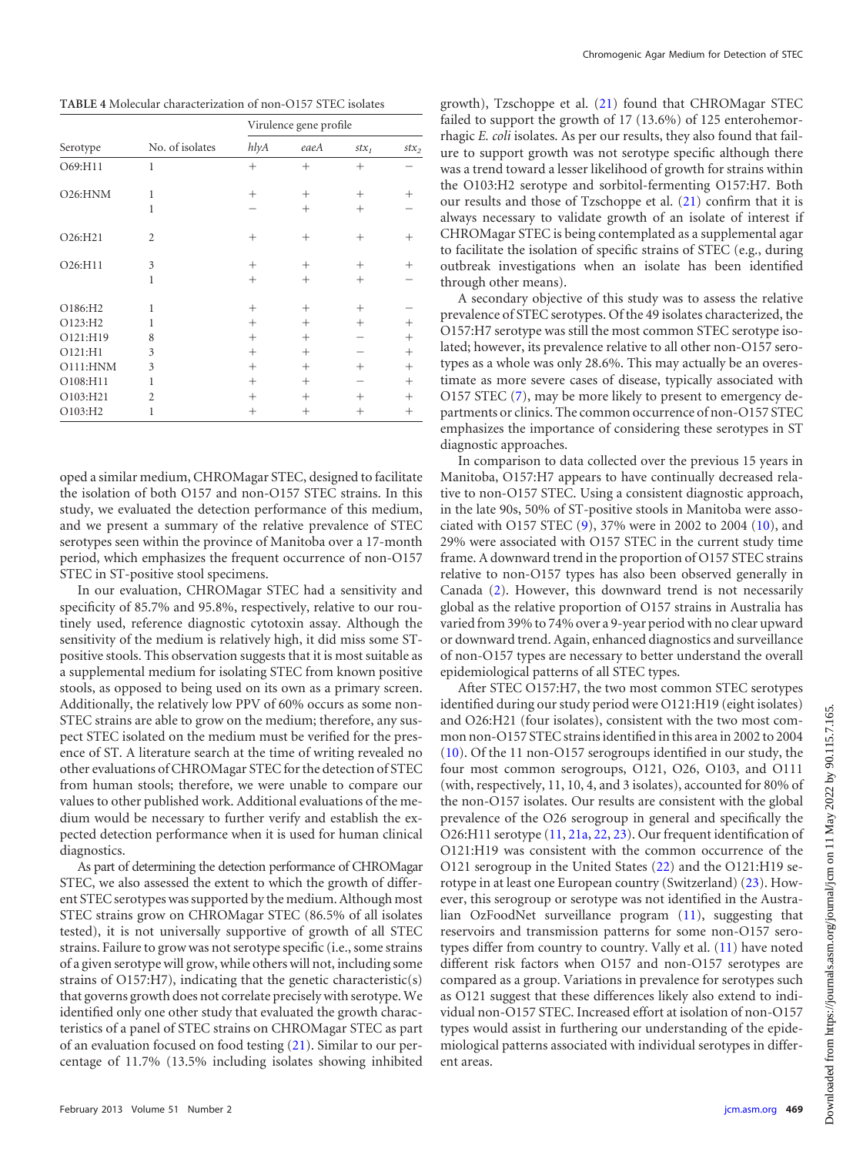<span id="page-3-0"></span>**TABLE 4** Molecular characterization of non-O157 STEC isolates

| Serotype | No. of isolates | Virulence gene profile |        |         |         |
|----------|-----------------|------------------------|--------|---------|---------|
|          |                 | hlyA                   | eaeA   | $stx_1$ | $stx_2$ |
| O69:H11  | 1               | $^{+}$                 | $^{+}$ | $^+$    |         |
| O26:HMM  | 1               | $^{+}$                 | $^{+}$ | $^{+}$  | $^+$    |
|          | 1               |                        | $^{+}$ | $^{+}$  |         |
| O26:H21  | $\overline{c}$  | $^{+}$                 | $^{+}$ | $+$     | $^{+}$  |
| O26:H11  | 3               | $^{+}$                 | $^+$   | $\, +$  |         |
| 1        |                 | $^{+}$                 | $^{+}$ | $^+$    |         |
| O186:H2  | 1               | $^{+}$                 | $^{+}$ | $^{+}$  |         |
| O123:H2  | 1               | $^{+}$                 | $^{+}$ | $^{+}$  | $^{+}$  |
| O121:H19 | 8               | $^{+}$                 | $^{+}$ |         | $^{+}$  |
| O121:H1  | 3               | $^{+}$                 | $^{+}$ |         | $^{+}$  |
| O111:HNM | 3               | $^{+}$                 | $^{+}$ | $^{+}$  | $^{+}$  |
| O108:H11 | 1               | $^{+}$                 | $^{+}$ |         | $^+$    |
| O103:H21 | $\overline{c}$  | $^{+}$                 | $^+$   | $^{+}$  | $^{+}$  |
| O103:H2  | 1               | +                      | $\, +$ | $\, +$  | $^+$    |

oped a similar medium, CHROMagar STEC, designed to facilitate the isolation of both O157 and non-O157 STEC strains. In this study, we evaluated the detection performance of this medium, and we present a summary of the relative prevalence of STEC serotypes seen within the province of Manitoba over a 17-month period, which emphasizes the frequent occurrence of non-O157 STEC in ST-positive stool specimens.

In our evaluation, CHROMagar STEC had a sensitivity and specificity of 85.7% and 95.8%, respectively, relative to our routinely used, reference diagnostic cytotoxin assay. Although the sensitivity of the medium is relatively high, it did miss some STpositive stools. This observation suggests that it is most suitable as a supplemental medium for isolating STEC from known positive stools, as opposed to being used on its own as a primary screen. Additionally, the relatively low PPV of 60% occurs as some non-STEC strains are able to grow on the medium; therefore, any suspect STEC isolated on the medium must be verified for the presence of ST. A literature search at the time of writing revealed no other evaluations of CHROMagar STEC for the detection of STEC from human stools; therefore, we were unable to compare our values to other published work. Additional evaluations of the medium would be necessary to further verify and establish the expected detection performance when it is used for human clinical diagnostics.

As part of determining the detection performance of CHROMagar STEC, we also assessed the extent to which the growth of different STEC serotypes was supported by the medium. Although most STEC strains grow on CHROMagar STEC (86.5% of all isolates tested), it is not universally supportive of growth of all STEC strains. Failure to grow was not serotype specific (i.e., some strains of a given serotype will grow, while others will not, including some strains of O157:H7), indicating that the genetic characteristic(s) that governs growth does not correlate precisely with serotype.We identified only one other study that evaluated the growth characteristics of a panel of STEC strains on CHROMagar STEC as part of an evaluation focused on food testing [\(21\)](#page-5-0). Similar to our percentage of 11.7% (13.5% including isolates showing inhibited

growth), Tzschoppe et al. [\(21\)](#page-5-0) found that CHROMagar STEC failed to support the growth of 17 (13.6%) of 125 enterohemorrhagic *E. coli* isolates. As per our results, they also found that failure to support growth was not serotype specific although there was a trend toward a lesser likelihood of growth for strains within the O103:H2 serotype and sorbitol-fermenting O157:H7. Both our results and those of Tzschoppe et al. [\(21\)](#page-5-0) confirm that it is always necessary to validate growth of an isolate of interest if CHROMagar STEC is being contemplated as a supplemental agar to facilitate the isolation of specific strains of STEC (e.g., during outbreak investigations when an isolate has been identified through other means).

A secondary objective of this study was to assess the relative prevalence of STEC serotypes. Of the 49 isolates characterized, the O157:H7 serotype was still the most common STEC serotype isolated; however, its prevalence relative to all other non-O157 serotypes as a whole was only 28.6%. This may actually be an overestimate as more severe cases of disease, typically associated with O157 STEC [\(7\)](#page-4-16), may be more likely to present to emergency departments or clinics. The common occurrence of non-O157 STEC emphasizes the importance of considering these serotypes in ST diagnostic approaches.

In comparison to data collected over the previous 15 years in Manitoba, O157:H7 appears to have continually decreased relative to non-O157 STEC. Using a consistent diagnostic approach, in the late 90s, 50% of ST-positive stools in Manitoba were associated with O157 STEC [\(9\)](#page-4-17), 37% were in 2002 to 2004 [\(10\)](#page-4-14), and 29% were associated with O157 STEC in the current study time frame. A downward trend in the proportion of O157 STEC strains relative to non-O157 types has also been observed generally in Canada [\(2\)](#page-4-1). However, this downward trend is not necessarily global as the relative proportion of O157 strains in Australia has varied from 39% to 74% over a 9-year period with no clear upward or downward trend. Again, enhanced diagnostics and surveillance of non-O157 types are necessary to better understand the overall epidemiological patterns of all STEC types.

After STEC O157:H7, the two most common STEC serotypes identified during our study period were O121:H19 (eight isolates) and O26:H21 (four isolates), consistent with the two most common non-O157 STEC strains identified in this area in 2002 to 2004 [\(10\)](#page-4-14). Of the 11 non-O157 serogroups identified in our study, the four most common serogroups, O121, O26, O103, and O111 (with, respectively, 11, 10, 4, and 3 isolates), accounted for 80% of the non-O157 isolates. Our results are consistent with the global prevalence of the O26 serogroup in general and specifically the O26:H11 serotype [\(11,](#page-4-5) [21a,](#page-5-1) [22,](#page-5-2) [23\)](#page-5-3). Our frequent identification of O121:H19 was consistent with the common occurrence of the O121 serogroup in the United States [\(22\)](#page-5-2) and the O121:H19 serotype in at least one European country (Switzerland) [\(23\)](#page-5-3). However, this serogroup or serotype was not identified in the Australian OzFoodNet surveillance program [\(11\)](#page-4-5), suggesting that reservoirs and transmission patterns for some non-O157 serotypes differ from country to country. Vally et al. [\(11\)](#page-4-5) have noted different risk factors when O157 and non-O157 serotypes are compared as a group. Variations in prevalence for serotypes such as O121 suggest that these differences likely also extend to individual non-O157 STEC. Increased effort at isolation of non-O157 types would assist in furthering our understanding of the epidemiological patterns associated with individual serotypes in different areas.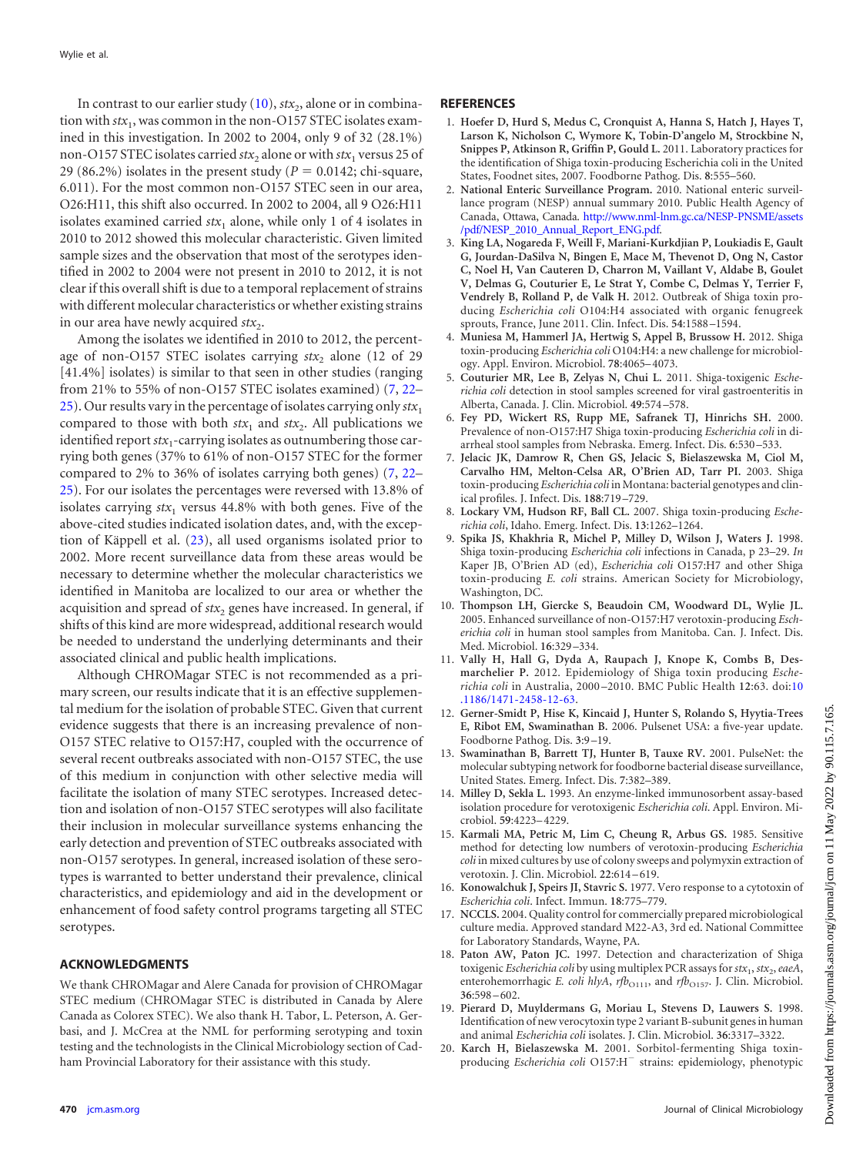In contrast to our earlier study  $(10)$ ,  $\text{str}_2$ , alone or in combination with  $stx_1$ , was common in the non-O157 STEC isolates examined in this investigation. In 2002 to 2004, only 9 of 32 (28.1%) non-O157 STEC isolates carried  $\text{str}_2$  alone or with  $\text{str}_1$  versus 25 of 29 (86.2%) isolates in the present study ( $P = 0.0142$ ; chi-square, 6.011). For the most common non-O157 STEC seen in our area, O26:H11, this shift also occurred. In 2002 to 2004, all 9 O26:H11 isolates examined carried  $stx_1$  alone, while only 1 of 4 isolates in 2010 to 2012 showed this molecular characteristic. Given limited sample sizes and the observation that most of the serotypes identified in 2002 to 2004 were not present in 2010 to 2012, it is not clear if this overall shift is due to a temporal replacement of strains with different molecular characteristics or whether existing strains in our area have newly acquired *stx*<sub>2</sub>.

Among the isolates we identified in 2010 to 2012, the percentage of non-O157 STEC isolates carrying  $stx_2$  alone (12 of 29) [41.4%] isolates) is similar to that seen in other studies (ranging from 21% to 55% of non-O157 STEC isolates examined) [\(7,](#page-4-16) [22–](#page-5-2) [25\)](#page-5-4). Our results vary in the percentage of isolates carrying only  $\mathit{stx}_1$ compared to those with both  $stx_1$  and  $stx_2$ . All publications we identified report  $\mathit{stx}_1$ -carrying isolates as outnumbering those carrying both genes (37% to 61% of non-O157 STEC for the former compared to 2% to 36% of isolates carrying both genes) [\(7,](#page-4-16) [22–](#page-5-2) [25\)](#page-5-4). For our isolates the percentages were reversed with 13.8% of isolates carrying  $f(x)$  versus 44.8% with both genes. Five of the above-cited studies indicated isolation dates, and, with the exception of Käppell et al. [\(23\)](#page-5-3), all used organisms isolated prior to 2002. More recent surveillance data from these areas would be necessary to determine whether the molecular characteristics we identified in Manitoba are localized to our area or whether the acquisition and spread of *stx*<sub>2</sub> genes have increased. In general, if shifts of this kind are more widespread, additional research would be needed to understand the underlying determinants and their associated clinical and public health implications.

Although CHROMagar STEC is not recommended as a primary screen, our results indicate that it is an effective supplemental medium for the isolation of probable STEC. Given that current evidence suggests that there is an increasing prevalence of non-O157 STEC relative to O157:H7, coupled with the occurrence of several recent outbreaks associated with non-O157 STEC, the use of this medium in conjunction with other selective media will facilitate the isolation of many STEC serotypes. Increased detection and isolation of non-O157 STEC serotypes will also facilitate their inclusion in molecular surveillance systems enhancing the early detection and prevention of STEC outbreaks associated with non-O157 serotypes. In general, increased isolation of these serotypes is warranted to better understand their prevalence, clinical characteristics, and epidemiology and aid in the development or enhancement of food safety control programs targeting all STEC serotypes.

## **ACKNOWLEDGMENTS**

We thank CHROMagar and Alere Canada for provision of CHROMagar STEC medium (CHROMagar STEC is distributed in Canada by Alere Canada as Colorex STEC). We also thank H. Tabor, L. Peterson, A. Gerbasi, and J. McCrea at the NML for performing serotyping and toxin testing and the technologists in the Clinical Microbiology section of Cadham Provincial Laboratory for their assistance with this study.

### <span id="page-4-0"></span>**REFERENCES**

- 1. **Hoefer D, Hurd S, Medus C, Cronquist A, Hanna S, Hatch J, Hayes T, Larson K, Nicholson C, Wymore K, Tobin-D'angelo M, Strockbine N, Snippes P, Atkinson R, Griffin P, Gould L.** 2011. Laboratory practices for the identification of Shiga toxin-producing Escherichia coli in the United States, Foodnet sites, 2007. Foodborne Pathog. Dis. **8**:555–560.
- <span id="page-4-1"></span>2. **National Enteric Surveillance Program.** 2010. National enteric surveillance program (NESP) annual summary 2010. Public Health Agency of Canada, Ottawa, Canada. [http://www.nml-lnm.gc.ca/NESP-PNSME/assets](http://www.nml-lnm.gc.ca/NESP-PNSME/assets/pdf/NESP_2010_Annual_Report_ENG.pdf) [/pdf/NESP\\_2010\\_Annual\\_Report\\_ENG.pdf.](http://www.nml-lnm.gc.ca/NESP-PNSME/assets/pdf/NESP_2010_Annual_Report_ENG.pdf)
- <span id="page-4-2"></span>3. **King LA, Nogareda F, Weill F, Mariani-Kurkdjian P, Loukiadis E, Gault G, Jourdan-DaSilva N, Bingen E, Mace M, Thevenot D, Ong N, Castor C, Noel H, Van Cauteren D, Charron M, Vaillant V, Aldabe B, Goulet V, Delmas G, Couturier E, Le Strat Y, Combe C, Delmas Y, Terrier F, Vendrely B, Rolland P, de Valk H.** 2012. Outbreak of Shiga toxin producing *Escherichia coli* O104:H4 associated with organic fenugreek sprouts, France, June 2011. Clin. Infect. Dis. **54**:1588 –1594.
- <span id="page-4-3"></span>4. **Muniesa M, Hammerl JA, Hertwig S, Appel B, Brussow H.** 2012. Shiga toxin-producing *Escherichia coli* O104:H4: a new challenge for microbiology. Appl. Environ. Microbiol. **78**:4065–4073.
- <span id="page-4-4"></span>5. **Couturier MR, Lee B, Zelyas N, Chui L.** 2011. Shiga-toxigenic *Escherichia coli* detection in stool samples screened for viral gastroenteritis in Alberta, Canada. J. Clin. Microbiol. **49**:574 –578.
- 6. **Fey PD, Wickert RS, Rupp ME, Safranek TJ, Hinrichs SH.** 2000. Prevalence of non-O157:H7 Shiga toxin-producing *Escherichia coli* in diarrheal stool samples from Nebraska. Emerg. Infect. Dis. **6**:530 –533.
- <span id="page-4-16"></span>7. **Jelacic JK, Damrow R, Chen GS, Jelacic S, Bielaszewska M, Ciol M, Carvalho HM, Melton-Celsa AR, O'Brien AD, Tarr PI.** 2003. Shiga toxin-producing *Escherichia coli* in Montana: bacterial genotypes and clinical profiles. J. Infect. Dis. **188**:719 –729.
- <span id="page-4-17"></span>8. **Lockary VM, Hudson RF, Ball CL.** 2007. Shiga toxin-producing *Escherichia coli*, Idaho. Emerg. Infect. Dis. **13**:1262–1264.
- 9. **Spika JS, Khakhria R, Michel P, Milley D, Wilson J, Waters J.** 1998. Shiga toxin-producing *Escherichia coli* infections in Canada, p 23–29. *In* Kaper JB, O'Brien AD (ed), *Escherichia coli* O157:H7 and other Shiga toxin-producing *E. coli* strains. American Society for Microbiology, Washington, DC.
- <span id="page-4-14"></span>10. **Thompson LH, Giercke S, Beaudoin CM, Woodward DL, Wylie JL.** 2005. Enhanced surveillance of non-O157:H7 verotoxin-producing *Escherichia coli* in human stool samples from Manitoba. Can. J. Infect. Dis. Med. Microbiol. **16**:329 –334.
- <span id="page-4-5"></span>11. **Vally H, Hall G, Dyda A, Raupach J, Knope K, Combs B, Desmarchelier P.** 2012. Epidemiology of Shiga toxin producing *Escherichia coli* in Australia, 2000 –2010. BMC Public Health **12**:63. doi[:10](http://dx.doi.org/10.1186/1471-2458-12-63) [.1186/1471-2458-12-63.](http://dx.doi.org/10.1186/1471-2458-12-63)
- <span id="page-4-7"></span><span id="page-4-6"></span>12. **Gerner-Smidt P, Hise K, Kincaid J, Hunter S, Rolando S, Hyytia-Trees E, Ribot EM, Swaminathan B.** 2006. Pulsenet USA: a five-year update. Foodborne Pathog. Dis. **3**:9 –19.
- <span id="page-4-8"></span>13. **Swaminathan B, Barrett TJ, Hunter B, Tauxe RV.** 2001. PulseNet: the molecular subtyping network for foodborne bacterial disease surveillance, United States. Emerg. Infect. Dis. **7**:382–389.
- <span id="page-4-9"></span>14. **Milley D, Sekla L.** 1993. An enzyme-linked immunosorbent assay-based isolation procedure for verotoxigenic *Escherichia coli*. Appl. Environ. Microbiol. **59**:4223–4229.
- 15. **Karmali MA, Petric M, Lim C, Cheung R, Arbus GS.** 1985. Sensitive method for detecting low numbers of verotoxin-producing *Escherichia coli* in mixed cultures by use of colony sweeps and polymyxin extraction of verotoxin. J. Clin. Microbiol. **22**:614 –619.
- <span id="page-4-11"></span><span id="page-4-10"></span>16. **Konowalchuk J, Speirs JI, Stavric S.** 1977. Vero response to a cytotoxin of *Escherichia coli*. Infect. Immun. **18**:775–779.
- <span id="page-4-12"></span>17. **NCCLS.** 2004. Quality control for commercially prepared microbiological culture media. Approved standard M22-A3, 3rd ed. National Committee for Laboratory Standards, Wayne, PA.
- 18. **Paton AW, Paton JC.** 1997. Detection and characterization of Shiga toxigenic *Escherichia coli* by using multiplex PCR assays for  $stx_1, stx_2, eaeA$ , enterohemorrhagic *E. coli hlyA*, *rfb*<sub>O111</sub>, and *rfb*<sub>O157</sub>. J. Clin. Microbiol. **36**:598 –602.
- <span id="page-4-15"></span><span id="page-4-13"></span>19. **Pierard D, Muyldermans G, Moriau L, Stevens D, Lauwers S.** 1998. Identification of new verocytoxin type 2 variant B-subunit genes in human and animal *Escherichia coli* isolates. J. Clin. Microbiol. **36**:3317–3322.
- 20. **Karch H, Bielaszewska M.** 2001. Sorbitol-fermenting Shiga toxinproducing *Escherichia coli* O157:H<sup>-</sup> strains: epidemiology, phenotypic